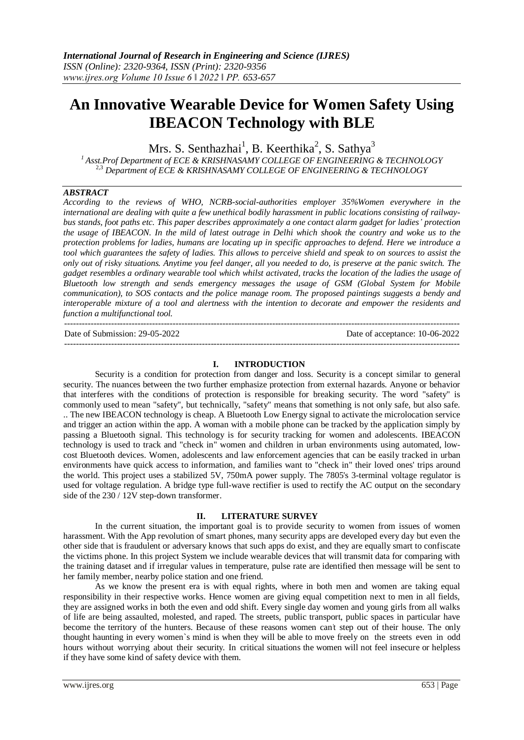# **An Innovative Wearable Device for Women Safety Using IBEACON Technology with BLE**

Mrs. S. Senthazhai<sup>1</sup>, B. Keerthika<sup>2</sup>, S. Sathya<sup>3</sup>

*<sup>1</sup>Asst.Prof Department of ECE & KRISHNASAMY COLLEGE OF ENGINEERING & TECHNOLOGY* 2,3 *Department of ECE & KRISHNASAMY COLLEGE OF ENGINEERING & TECHNOLOGY*

## *ABSTRACT*

*According to the reviews of WHO, NCRB-social-authorities employer 35%Women everywhere in the international are dealing with quite a few unethical bodily harassment in public locations consisting of railwaybus stands, foot paths etc. This paper describes approximately a one contact alarm gadget for ladies' protection the usage of IBEACON. In the mild of latest outrage in Delhi which shook the country and woke us to the protection problems for ladies, humans are locating up in specific approaches to defend. Here we introduce a tool which guarantees the safety of ladies. This allows to perceive shield and speak to on sources to assist the only out of risky situations. Anytime you feel danger, all you needed to do, is preserve at the panic switch. The gadget resembles a ordinary wearable tool which whilst activated, tracks the location of the ladies the usage of Bluetooth low strength and sends emergency messages the usage of GSM (Global System for Mobile communication), to SOS contacts and the police manage room. The proposed paintings suggests a bendy and interoperable mixture of a tool and alertness with the intention to decorate and empower the residents and function a multifunctional tool.*

--------------------------------------------------------------------------------------------------------------------------------------- Date of Submission: 29-05-2022 Date of acceptance: 10-06-2022 ---------------------------------------------------------------------------------------------------------------------------------------

## **I. INTRODUCTION**

Security is a condition for protection from danger and loss. Security is a concept similar to general security. The nuances between the two further emphasize protection from external hazards. Anyone or behavior that interferes with the conditions of protection is responsible for breaking security. The word "safety" is commonly used to mean "safety", but technically, "safety" means that something is not only safe, but also safe. .. The new IBEACON technology is cheap. A Bluetooth Low Energy signal to activate the microlocation service and trigger an action within the app. A woman with a mobile phone can be tracked by the application simply by passing a Bluetooth signal. This technology is for security tracking for women and adolescents. IBEACON technology is used to track and "check in" women and children in urban environments using automated, lowcost Bluetooth devices. Women, adolescents and law enforcement agencies that can be easily tracked in urban environments have quick access to information, and families want to "check in" their loved ones' trips around the world. This project uses a stabilized 5V, 750mA power supply. The 7805's 3-terminal voltage regulator is used for voltage regulation. A bridge type full-wave rectifier is used to rectify the AC output on the secondary side of the 230 / 12V step-down transformer.

## **II. LITERATURE SURVEY**

In the current situation, the important goal is to provide security to women from issues of women harassment. With the App revolution of smart phones, many security apps are developed every day but even the other side that is fraudulent or adversary knows that such apps do exist, and they are equally smart to confiscate the victims phone. In this project System we include wearable devices that will transmit data for comparing with the training dataset and if irregular values in temperature, pulse rate are identified then message will be sent to her family member, nearby police station and one friend.

As we know the present era is with equal rights, where in both men and women are taking equal responsibility in their respective works. Hence women are giving equal competition next to men in all fields, they are assigned works in both the even and odd shift. Every single day women and young girls from all walks of life are being assaulted, molested, and raped. The streets, public transport, public spaces in particular have become the territory of the hunters. Because of these reasons women can't step out of their house. The only thought haunting in every women`s mind is when they will be able to move freely on the streets even in odd hours without worrying about their security. In critical situations the women will not feel insecure or helpless if they have some kind of safety device with them.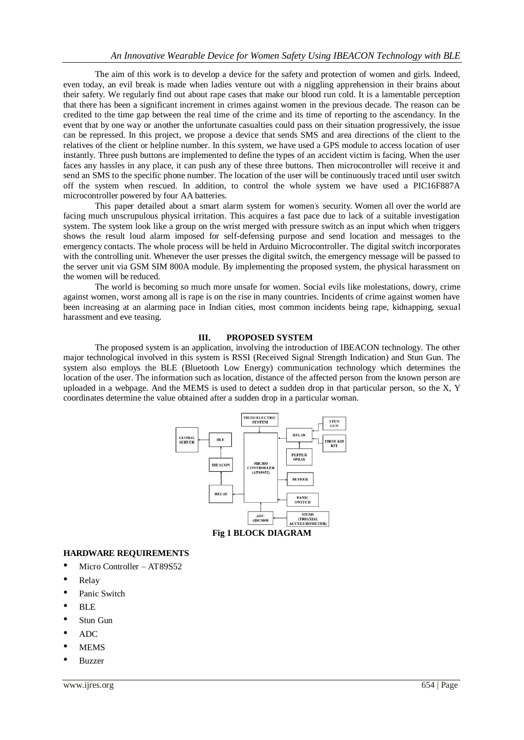The aim of this work is to develop a device for the safety and protection of women and girls. Indeed, even today, an evil break is made when ladies venture out with a niggling apprehension in their brains about their safety. We regularly find out about rape cases that make our blood run cold. It is a lamentable perception that there has been a significant increment in crimes against women in the previous decade. The reason can be credited to the time gap between the real time of the crime and its time of reporting to the ascendancy. In the event that by one way or another the unfortunate casualties could pass on their situation progressively, the issue can be repressed. In this project, we propose a device that sends SMS and area directions of the client to the relatives of the client or helpline number. In this system, we have used a GPS module to access location of user instantly. Three push buttons are implemented to define the types of an accident victim is facing. When the user faces any hassles in any place, it can push any of these three buttons. Then microcontroller will receive it and send an SMS to the specific phone number. The location of the user will be continuously traced until user switch off the system when rescued. In addition, to control the whole system we have used a PIC16F887A microcontroller powered by four AA batteries.

This paper detailed about a smart alarm system for women's security. Women all over the world are facing much unscrupulous physical irritation. This acquires a fast pace due to lack of a suitable investigation system. The system look like a group on the wrist merged with pressure switch as an input which when triggers shows the result loud alarm imposed for self-defensing purpose and send location and messages to the emergency contacts. The whole process will be held in Arduino Microcontroller. The digital switch incorporates with the controlling unit. Whenever the user presses the digital switch, the emergency message will be passed to the server unit via GSM SIM 800A module. By implementing the proposed system, the physical harassment on the women will be reduced.

The world is becoming so much more unsafe for women. Social evils like molestations, dowry, crime against women, worst among all is rape is on the rise in many countries. Incidents of crime against women have been increasing at an alarming pace in Indian cities, most common incidents being rape, kidnapping, sexual harassment and eve teasing.

## **III. PROPOSED SYSTEM**

The proposed system is an application, involving the introduction of IBEACON technology. The other major technological involved in this system is RSSI (Received Signal Strength Indication) and Stun Gun. The system also employs the BLE (Bluetooth Low Energy) communication technology which determines the location of the user. The information such as location, distance of the affected person from the known person are uploaded in a webpage. And the MEMS is used to detect a sudden drop in that particular person, so the X, Y coordinates determine the value obtained after a sudden drop in a particular woman.



**Fig 1 BLOCK DIAGRAM**

## **HARDWARE REQUIREMENTS**

- Micro Controller AT89S52
- Relay
- Panic Switch
- BLE
- Stun Gun
- ADC
- **MEMS**
- Buzzer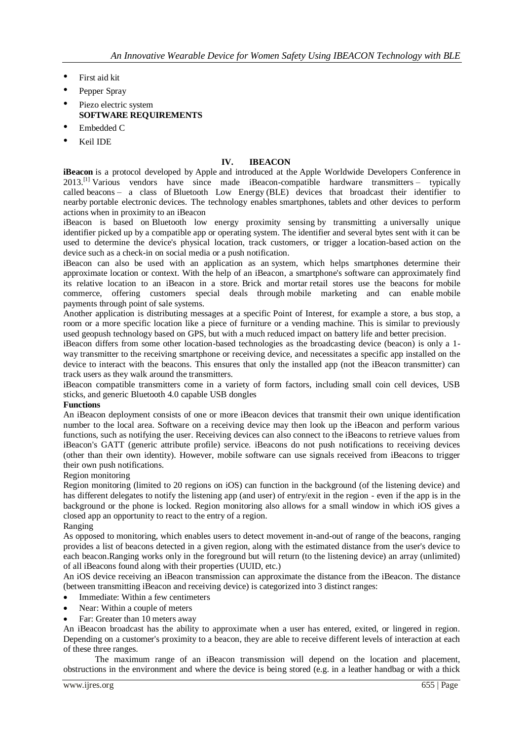- First aid kit
- Pepper Spray
- Piezo electric system **SOFTWARE REQUIREMENTS**
- Embedded C
- Keil IDE

## **IV. IBEACON**

**iBeacon** is a protocol developed by [Apple](https://en.wikipedia.org/wiki/Apple_Inc.) and introduced at the [Apple Worldwide Developers Conference](https://en.wikipedia.org/wiki/Apple_Worldwide_Developers_Conference) in 2013.<sup>[\[1\]](https://en.wikipedia.org/wiki/IBeacon#cite_note-1)</sup> Various vendors have since made iBeacon-compatible hardware transmitters – typically called [beacons](https://en.wikipedia.org/wiki/Bluetooth_low_energy_beacon) – a class of [Bluetooth Low Energy](https://en.wikipedia.org/wiki/Bluetooth_Low_Energy) (BLE) devices that broadcast their identifier to nearby [portable electronic](https://en.wikipedia.org/wiki/Mobile_computing) devices. The technology enables [smartphones,](https://en.wikipedia.org/wiki/Smartphone) [tablets](https://en.wikipedia.org/wiki/Computer_tablet) and other devices to perform actions when in proximity to an iBeacon

iBeacon is based on [Bluetooth low energy proximity sensing](https://en.wikipedia.org/wiki/Bluetooth_Low_Energy#Proximity_sensing) by transmitting a [universally unique](https://en.wikipedia.org/wiki/Universally_unique_identifier)  [identifier](https://en.wikipedia.org/wiki/Universally_unique_identifier) picked up by a compatible app or operating system. The identifier and several bytes sent with it can be used to determine the device's physical location, track customers, or trigger a [location-based](https://en.wikipedia.org/wiki/Location-based_service) action on the device such as a [check-in on social media](https://en.wikipedia.org/wiki/Check-in#Social_network) or a [push notification.](https://en.wikipedia.org/wiki/Mobile_marketing)

iBeacon can also be used with an application as an system, which helps smartphones determine their approximate location or context. With the help of an iBeacon, a smartphone's software can approximately find its relative location to an iBeacon in a store. [Brick and mortar](https://en.wikipedia.org/wiki/Brick_and_mortar) retail stores use the beacons for [mobile](https://en.wikipedia.org/wiki/Mobile_commerce)  [commerce,](https://en.wikipedia.org/wiki/Mobile_commerce) offering customers special deals through [mobile marketing](https://en.wikipedia.org/wiki/Mobile_marketing) and can enable [mobile](https://en.wikipedia.org/wiki/Mobile_payment)  [payments](https://en.wikipedia.org/wiki/Mobile_payment) through [point of sale](https://en.wikipedia.org/wiki/Point_of_sale) systems.

Another application is distributing messages at a specific [Point of Interest,](https://en.wikipedia.org/wiki/Point_of_Interest) for example a store, a bus stop, a room or a more specific location like a piece of furniture or a vending machine. This is similar to previously used geopush technology based on [GPS,](https://en.wikipedia.org/wiki/GPS) but with a much reduced impact on battery life and better precision.

iBeacon differs from some other location-based technologies as the broadcasting device (beacon) is only a 1 way transmitter to the receiving smartphone or receiving device, and necessitates a specific app installed on the device to interact with the beacons. This ensures that only the installed app (not the iBeacon transmitter) can track users as they walk around the transmitters.

iBeacon compatible transmitters come in a variety of form factors, including small coin cell devices, USB sticks, and generic Bluetooth 4.0 capable USB dongles

#### **Functions**

An iBeacon deployment consists of one or more iBeacon devices that transmit their own unique identification number to the local area. Software on a receiving device may then look up the iBeacon and perform various functions, such as notifying the user. Receiving devices can also connect to the iBeacons to retrieve values from iBeacon's GATT [\(generic attribute profile\)](https://en.wikipedia.org/wiki/List_of_Bluetooth_profiles) service. iBeacons do not push notifications to receiving devices (other than their own identity). However, mobile software can use signals received from iBeacons to trigger their own push notifications.

## Region monitoring

Region monitoring (limited to 20 regions on iOS) can function in the background (of the listening device) and has different delegates to notify the listening app (and user) of entry/exit in the region - even if the app is in the background or the phone is locked. Region monitoring also allows for a small window in which iOS gives a closed app an opportunity to react to the entry of a region.

#### Ranging

As opposed to monitoring, which enables users to detect movement in-and-out of range of the beacons, ranging provides a list of beacons detected in a given region, along with the estimated distance from the user's device to each beacon.Ranging works only in the foreground but will return (to the listening device) an array (unlimited) of all iBeacons found along with their properties [\(UUID,](https://en.wikipedia.org/wiki/UUID) etc.)

An iOS device receiving an iBeacon transmission can approximate the distance from the iBeacon. The distance (between transmitting iBeacon and receiving device) is categorized into 3 distinct ranges:

- Immediate: Within a few centimeters
- Near: Within a couple of meters
- Far: Greater than 10 meters away

An iBeacon broadcast has the ability to approximate when a user has entered, exited, or lingered in region. Depending on a customer's proximity to a beacon, they are able to receive different levels of interaction at each of these three ranges.

The maximum range of an iBeacon transmission will depend on the location and placement, obstructions in the environment and where the device is being stored (e.g. in a leather handbag or with a thick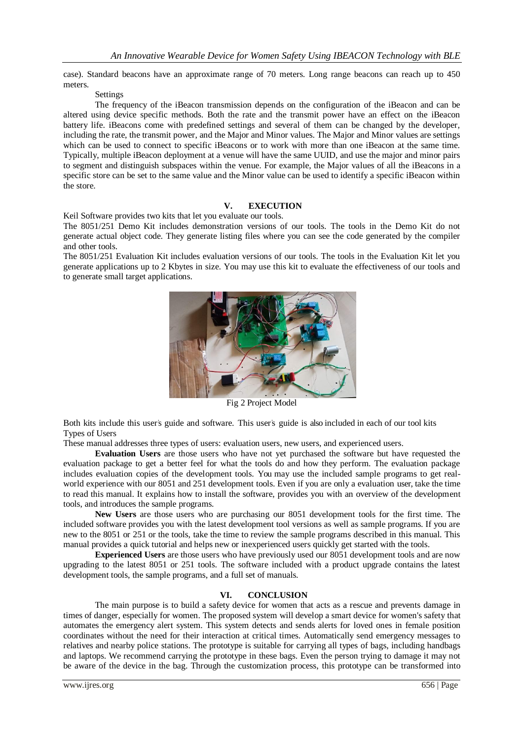case). Standard beacons have an approximate range of 70 meters. Long range beacons can reach up to 450 meters.

### Settings

The frequency of the iBeacon transmission depends on the configuration of the iBeacon and can be altered using device specific methods. Both the rate and the transmit power have an effect on the iBeacon battery life. iBeacons come with predefined settings and several of them can be changed by the developer, including the rate, the transmit power, and the Major and Minor values. The Major and Minor values are settings which can be used to connect to specific iBeacons or to work with more than one iBeacon at the same time. Typically, multiple iBeacon deployment at a venue will have the same UUID, and use the major and minor pairs to segment and distinguish subspaces within the venue. For example, the Major values of all the iBeacons in a specific store can be set to the same value and the Minor value can be used to identify a specific iBeacon within the store.

## **V. EXECUTION**

Keil Software provides two kits that let you evaluate our tools.

The 8051/251 Demo Kit includes demonstration versions of our tools. The tools in the Demo Kit do not generate actual object code. They generate listing files where you can see the code generated by the compiler and other tools.

The 8051/251 Evaluation Kit includes evaluation versions of our tools. The tools in the Evaluation Kit let you generate applications up to 2 Kbytes in size. You may use this kit to evaluate the effectiveness of our tools and to generate small target applications.



Fig 2 Project Model

Both kits include this user's guide and software. This user's guide is also included in each of our tool kits Types of Users

These manual addresses three types of users: evaluation users, new users, and experienced users.

**Evaluation Users** are those users who have not yet purchased the software but have requested the evaluation package to get a better feel for what the tools do and how they perform. The evaluation package includes evaluation copies of the development tools. You may use the included sample programs to get realworld experience with our 8051 and 251 development tools. Even if you are only a evaluation user, take the time to read this manual. It explains how to install the software, provides you with an overview of the development tools, and introduces the sample programs.

**New Users** are those users who are purchasing our 8051 development tools for the first time. The included software provides you with the latest development tool versions as well as sample programs. If you are new to the 8051 or 251 or the tools, take the time to review the sample programs described in this manual. This manual provides a quick tutorial and helps new or inexperienced users quickly get started with the tools.

**Experienced Users** are those users who have previously used our 8051 development tools and are now upgrading to the latest 8051 or 251 tools. The software included with a product upgrade contains the latest development tools, the sample programs, and a full set of manuals.

## **VI. CONCLUSION**

The main purpose is to build a safety device for women that acts as a rescue and prevents damage in times of danger, especially for women. The proposed system will develop a smart device for women's safety that automates the emergency alert system. This system detects and sends alerts for loved ones in female position coordinates without the need for their interaction at critical times. Automatically send emergency messages to relatives and nearby police stations. The prototype is suitable for carrying all types of bags, including handbags and laptops. We recommend carrying the prototype in these bags. Even the person trying to damage it may not be aware of the device in the bag. Through the customization process, this prototype can be transformed into